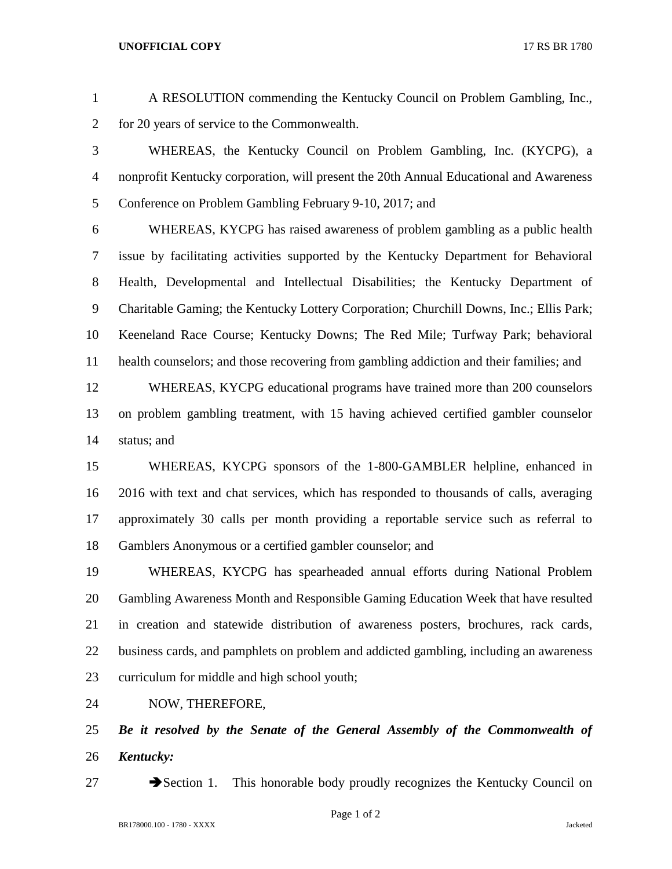## **UNOFFICIAL COPY** 17 RS BR 1780

 A RESOLUTION commending the Kentucky Council on Problem Gambling, Inc., for 20 years of service to the Commonwealth.

 WHEREAS, the Kentucky Council on Problem Gambling, Inc. (KYCPG), a nonprofit Kentucky corporation, will present the 20th Annual Educational and Awareness Conference on Problem Gambling February 9-10, 2017; and

 WHEREAS, KYCPG has raised awareness of problem gambling as a public health issue by facilitating activities supported by the Kentucky Department for Behavioral Health, Developmental and Intellectual Disabilities; the Kentucky Department of Charitable Gaming; the Kentucky Lottery Corporation; Churchill Downs, Inc.; Ellis Park; Keeneland Race Course; Kentucky Downs; The Red Mile; Turfway Park; behavioral health counselors; and those recovering from gambling addiction and their families; and

 WHEREAS, KYCPG educational programs have trained more than 200 counselors on problem gambling treatment, with 15 having achieved certified gambler counselor status; and

 WHEREAS, KYCPG sponsors of the 1-800-GAMBLER helpline, enhanced in 2016 with text and chat services, which has responded to thousands of calls, averaging approximately 30 calls per month providing a reportable service such as referral to Gamblers Anonymous or a certified gambler counselor; and

 WHEREAS, KYCPG has spearheaded annual efforts during National Problem Gambling Awareness Month and Responsible Gaming Education Week that have resulted in creation and statewide distribution of awareness posters, brochures, rack cards, business cards, and pamphlets on problem and addicted gambling, including an awareness curriculum for middle and high school youth;

NOW, THEREFORE,

 *Be it resolved by the Senate of the General Assembly of the Commonwealth of Kentucky:*

27 Section 1. This honorable body proudly recognizes the Kentucky Council on